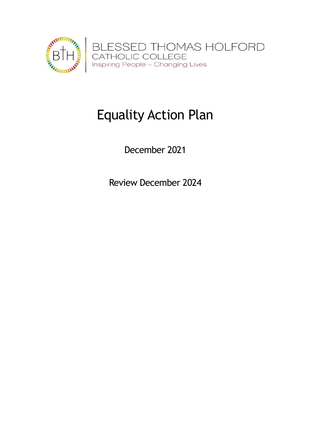

## Equality Action Plan

December 2021

Review December 2024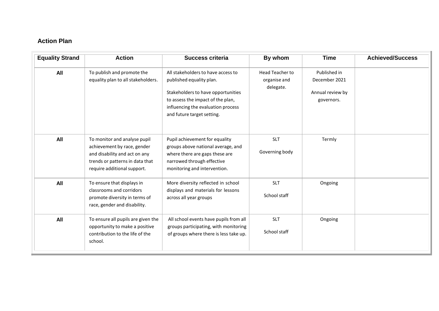## **Action Plan**

| <b>Equality Strand</b> | <b>Action</b>                                                                                                                                                  | <b>Success criteria</b>                                                                                                                                                                                       | By whom                                      | <b>Time</b>                                                     | <b>Achieved/Success</b> |
|------------------------|----------------------------------------------------------------------------------------------------------------------------------------------------------------|---------------------------------------------------------------------------------------------------------------------------------------------------------------------------------------------------------------|----------------------------------------------|-----------------------------------------------------------------|-------------------------|
| All                    | To publish and promote the<br>equality plan to all stakeholders.                                                                                               | All stakeholders to have access to<br>published equality plan.<br>Stakeholders to have opportunities<br>to assess the impact of the plan,<br>influencing the evaluation process<br>and future target setting. | Head Teacher to<br>organise and<br>delegate. | Published in<br>December 2021<br>Annual review by<br>governors. |                         |
| All                    | To monitor and analyse pupil<br>achievement by race, gender<br>and disability and act on any<br>trends or patterns in data that<br>require additional support. | Pupil achievement for equality<br>groups above national average, and<br>where there are gaps these are<br>narrowed through effective<br>monitoring and intervention.                                          | <b>SLT</b><br>Governing body                 | Termly                                                          |                         |
| All                    | To ensure that displays in<br>classrooms and corridors<br>promote diversity in terms of<br>race, gender and disability.                                        | More diversity reflected in school<br>displays and materials for lessons<br>across all year groups                                                                                                            | <b>SLT</b><br>School staff                   | Ongoing                                                         |                         |
| All                    | To ensure all pupils are given the<br>opportunity to make a positive<br>contribution to the life of the<br>school.                                             | All school events have pupils from all<br>groups participating, with monitoring<br>of groups where there is less take up.                                                                                     | <b>SLT</b><br>School staff                   | Ongoing                                                         |                         |